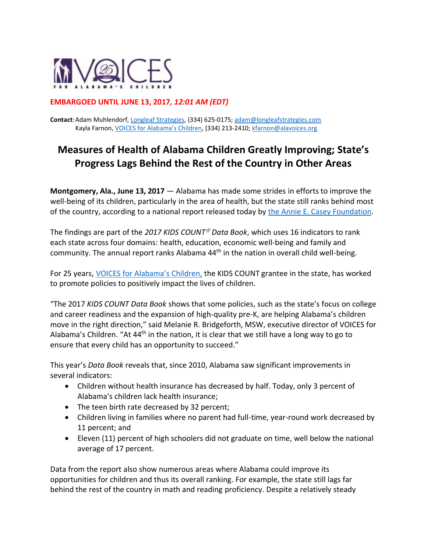

## **EMBARGOED UNTIL JUNE 13, 2017***, 12:01 AM (EDT)*

**Contact**:Adam Muhlendorf[, Longleaf Strategies,](http://www.longleafstrategies.com/) (334) 625-0175[; adam@longleafstrategies.com](mailto:adam@longleafstrategies.com) Kayla Farnon, [VOICES for Alabama's Children](http://www.alavoices.org/), (334) 213-2410[; kfarnon@alavoices.org](mailto:kfarnon@alavoices.org)

# **Measures of Health of Alabama Children Greatly Improving; State's Progress Lags Behind the Rest of the Country in Other Areas**

**Montgomery, Ala., June 13, 2017** — Alabama has made some strides in efforts to improve the well-being of its children, particularly in the area of health, but the state still ranks behind most of the country, according to a national report released today by [the Annie E. Casey Foundation.](http://www.aecf.org/)

The findings are part of the 2017 KIDS COUNT<sup>®</sup> Data Book, which uses 16 indicators to rank each state across four domains: health, education, economic well-being and family and community. The annual report ranks Alabama 44<sup>th</sup> in the nation in overall child well-being.

For 25 years, [VOICES for Alabama's Children](http://www.alavoice.org/), the KIDS COUNT grantee in the state, has worked to promote policies to positively impact the lives of children.

"The 2017 *KIDS COUNT Data Book* shows that some policies, such as the state's focus on college and career readiness and the expansion of high-quality pre-K, are helping Alabama's children move in the right direction," said Melanie R. Bridgeforth, MSW, executive director of VOICES for Alabama's Children. "At 44<sup>th</sup> in the nation, it is clear that we still have a long way to go to ensure that every child has an opportunity to succeed."

This year's *Data Book* reveals that, since 2010, Alabama saw significant improvements in several indicators:

- Children without health insurance has decreased by half. Today, only 3 percent of Alabama's children lack health insurance;
- The teen birth rate decreased by 32 percent;
- Children living in families where no parent had full-time, year-round work decreased by 11 percent; and
- Eleven (11) percent of high schoolers did not graduate on time, well below the national average of 17 percent.

Data from the report also show numerous areas where Alabama could improve its opportunities for children and thus its overall ranking. For example, the state still lags far behind the rest of the country in math and reading proficiency. Despite a relatively steady